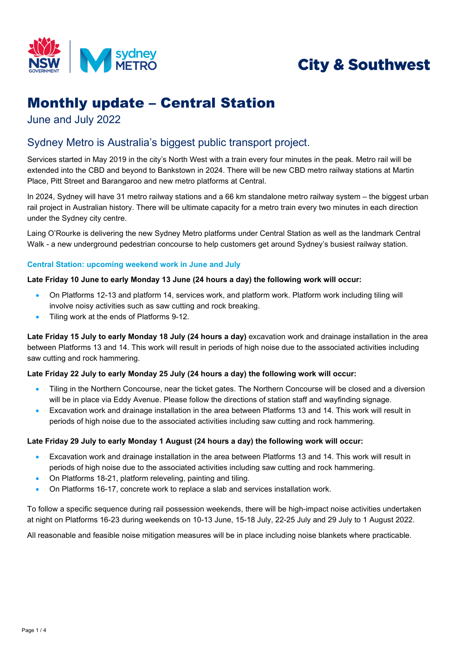

# **City & Southwest**

## Monthly update – Central Station

June and July 2022

## Sydney Metro is Australia's biggest public transport project.

Services started in May 2019 in the city's North West with a train every four minutes in the peak. Metro rail will be extended into the CBD and beyond to Bankstown in 2024. There will be new CBD metro railway stations at Martin Place, Pitt Street and Barangaroo and new metro platforms at Central.

In 2024, Sydney will have 31 metro railway stations and a 66 km standalone metro railway system – the biggest urban rail project in Australian history. There will be ultimate capacity for a metro train every two minutes in each direction under the Sydney city centre.

Laing O'Rourke is delivering the new Sydney Metro platforms under Central Station as well as the landmark Central Walk - a new underground pedestrian concourse to help customers get around Sydney's busiest railway station.

## **Central Station: upcoming weekend work in June and July**

## **Late Friday 10 June to early Monday 13 June (24 hours a day) the following work will occur:**

- On Platforms 12-13 and platform 14, services work, and platform work. Platform work including tiling will involve noisy activities such as saw cutting and rock breaking.
- Tiling work at the ends of Platforms 9-12.

**Late Friday 15 July to early Monday 18 July (24 hours a day)** excavation work and drainage installation in the area between Platforms 13 and 14. This work will result in periods of high noise due to the associated activities including saw cutting and rock hammering.

## **Late Friday 22 July to early Monday 25 July (24 hours a day) the following work will occur:**

- Tiling in the Northern Concourse, near the ticket gates. The Northern Concourse will be closed and a diversion will be in place via Eddy Avenue. Please follow the directions of station staff and wayfinding signage.
- Excavation work and drainage installation in the area between Platforms 13 and 14. This work will result in periods of high noise due to the associated activities including saw cutting and rock hammering.

### **Late Friday 29 July to early Monday 1 August (24 hours a day) the following work will occur:**

- Excavation work and drainage installation in the area between Platforms 13 and 14. This work will result in periods of high noise due to the associated activities including saw cutting and rock hammering.
- On Platforms 18-21, platform releveling, painting and tiling.
- On Platforms 16-17, concrete work to replace a slab and services installation work.

To follow a specific sequence during rail possession weekends, there will be high-impact noise activities undertaken at night on Platforms 16-23 during weekends on 10-13 June, 15-18 July, 22-25 July and 29 July to 1 August 2022.

All reasonable and feasible noise mitigation measures will be in place including noise blankets where practicable.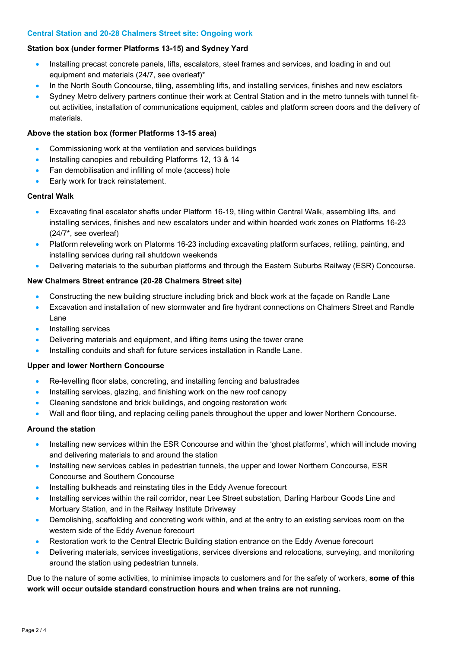### **Central Station and 20-28 Chalmers Street site: Ongoing work**

## **Station box (under former Platforms 13-15) and Sydney Yard**

- Installing precast concrete panels, lifts, escalators, steel frames and services, and loading in and out equipment and materials (24/7, see overleaf)\*
- In the North South Concourse, tiling, assembling lifts, and installing services, finishes and new esclators
- Sydney Metro delivery partners continue their work at Central Station and in the metro tunnels with tunnel fitout activities, installation of communications equipment, cables and platform screen doors and the delivery of materials.

## **Above the station box (former Platforms 13-15 area)**

- Commissioning work at the ventilation and services buildings
- Installing canopies and rebuilding Platforms 12, 13 & 14
- Fan demobilisation and infilling of mole (access) hole
- Early work for track reinstatement.

## **Central Walk**

- Excavating final escalator shafts under Platform 16-19, tiling within Central Walk, assembling lifts, and installing services, finishes and new escalators under and within hoarded work zones on Platforms 16-23 (24/7\*, see overleaf)
- Platform releveling work on Platorms 16-23 including excavating platform surfaces, retiling, painting, and installing services during rail shutdown weekends
- Delivering materials to the suburban platforms and through the Eastern Suburbs Railway (ESR) Concourse.

## **New Chalmers Street entrance (20-28 Chalmers Street site)**

- Constructing the new building structure including brick and block work at the façade on Randle Lane
- Excavation and installation of new stormwater and fire hydrant connections on Chalmers Street and Randle Lane
- Installing services
- Delivering materials and equipment, and lifting items using the tower crane
- Installing conduits and shaft for future services installation in Randle Lane.

### **Upper and lower Northern Concourse**

- Re-levelling floor slabs, concreting, and installing fencing and balustrades
- Installing services, glazing, and finishing work on the new roof canopy
- Cleaning sandstone and brick buildings, and ongoing restoration work
- Wall and floor tiling, and replacing ceiling panels throughout the upper and lower Northern Concourse.

## **Around the station**

- Installing new services within the ESR Concourse and within the 'ghost platforms', which will include moving and delivering materials to and around the station
- Installing new services cables in pedestrian tunnels, the upper and lower Northern Concourse, ESR Concourse and Southern Concourse
- Installing bulkheads and reinstating tiles in the Eddy Avenue forecourt
- Installing services within the rail corridor, near Lee Street substation, Darling Harbour Goods Line and Mortuary Station, and in the Railway Institute Driveway
- Demolishing, scaffolding and concreting work within, and at the entry to an existing services room on the western side of the Eddy Avenue forecourt
- Restoration work to the Central Electric Building station entrance on the Eddy Avenue forecourt
- Delivering materials, services investigations, services diversions and relocations, surveying, and monitoring around the station using pedestrian tunnels.

Due to the nature of some activities, to minimise impacts to customers and for the safety of workers, **some of this work will occur outside standard construction hours and when trains are not running.**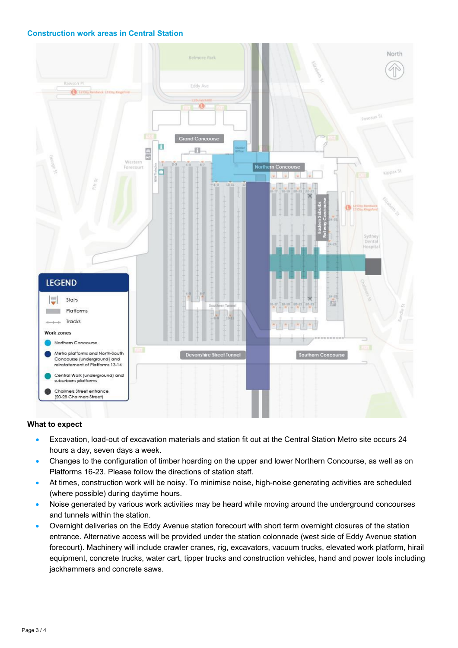## **Construction work areas in Central Station**



#### **What to expect**

- Excavation, load-out of excavation materials and station fit out at the Central Station Metro site occurs 24 hours a day, seven days a week.
- Changes to the configuration of timber hoarding on the upper and lower Northern Concourse, as well as on Platforms 16-23. Please follow the directions of station staff.
- At times, construction work will be noisy. To minimise noise, high-noise generating activities are scheduled (where possible) during daytime hours.
- Noise generated by various work activities may be heard while moving around the underground concourses and tunnels within the station.
- Overnight deliveries on the Eddy Avenue station forecourt with short term overnight closures of the station entrance. Alternative access will be provided under the station colonnade (west side of Eddy Avenue station forecourt). Machinery will include crawler cranes, rig, excavators, vacuum trucks, elevated work platform, hirail equipment, concrete trucks, water cart, tipper trucks and construction vehicles, hand and power tools including jackhammers and concrete saws.